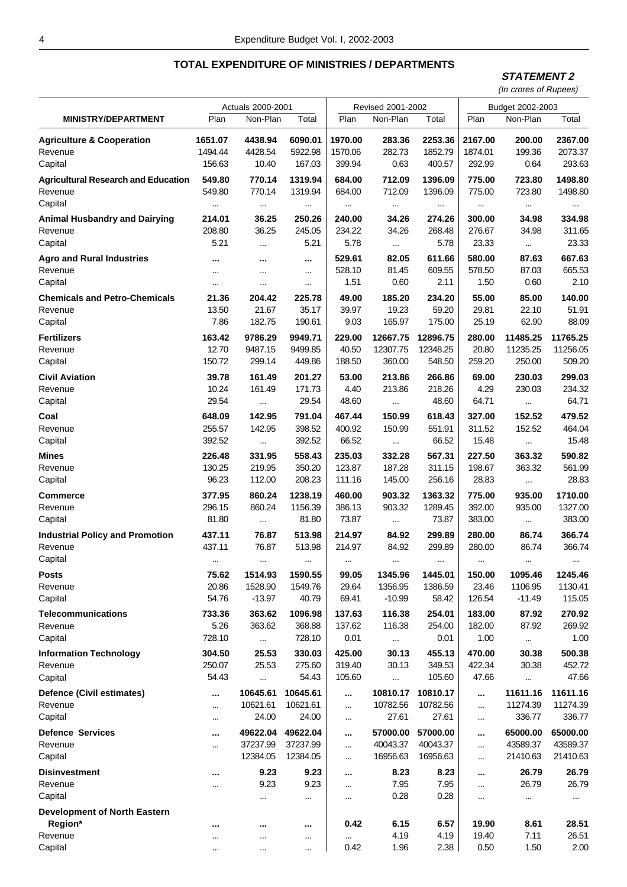### **STATEMENT 2**

|                                                |                            | Actuals 2000-2001                          |                                  |                           | Revised 2001-2002                         |                                  | Budget 2002-2003          |                                          |                                  |  |
|------------------------------------------------|----------------------------|--------------------------------------------|----------------------------------|---------------------------|-------------------------------------------|----------------------------------|---------------------------|------------------------------------------|----------------------------------|--|
| <b>MINISTRY/DEPARTMENT</b>                     | Plan                       | Non-Plan                                   | Total                            | Plan                      | Non-Plan                                  | Total                            | Plan                      | Non-Plan                                 | Total                            |  |
| <b>Agriculture &amp; Cooperation</b>           | 1651.07                    | 4438.94                                    | 6090.01                          | 1970.00                   | 283.36                                    | 2253.36                          | 2167.00                   | 200.00                                   | 2367.00                          |  |
| Revenue                                        | 1494.44                    | 4428.54                                    | 5922.98                          | 1570.06                   | 282.73                                    | 1852.79                          | 1874.01                   | 199.36                                   | 2073.37                          |  |
| Capital                                        | 156.63                     | 10.40                                      | 167.03                           | 399.94                    | 0.63                                      | 400.57                           | 292.99                    | 0.64                                     | 293.63                           |  |
| <b>Agricultural Research and Education</b>     | 549.80                     | 770.14                                     | 1319.94                          | 684.00                    | 712.09                                    | 1396.09                          | 775.00                    | 723.80                                   | 1498.80                          |  |
| Revenue                                        | 549.80                     | 770.14                                     | 1319.94                          | 684.00                    | 712.09                                    | 1396.09                          | 775.00                    | 723.80                                   | 1498.80                          |  |
| Capital                                        |                            | $\cdots$                                   | $\cdots$                         | $\cdots$                  | $\cdots$                                  | $\cdots$                         | $\cdots$                  |                                          |                                  |  |
| <b>Animal Husbandry and Dairying</b>           | 214.01                     | 36.25                                      | 250.26                           | 240.00                    | 34.26                                     | 274.26                           | 300.00                    | 34.98                                    | 334.98                           |  |
| Revenue                                        | 208.80                     | 36.25                                      | 245.05                           | 234.22                    | 34.26                                     | 268.48                           | 276.67                    | 34.98                                    | 311.65                           |  |
| Capital                                        | 5.21                       | $\cdots$                                   | 5.21                             | 5.78                      |                                           | 5.78                             | 23.33                     | $\cdots$                                 | 23.33                            |  |
| <b>Agro and Rural Industries</b>               |                            |                                            |                                  | 529.61                    | 82.05                                     | 611.66                           | 580.00                    | 87.63                                    | 667.63                           |  |
| Revenue                                        |                            | $\cdots$                                   | $\cdots$                         | 528.10                    | 81.45                                     | 609.55                           | 578.50                    | 87.03                                    | 665.53                           |  |
| Capital                                        | $\cdots$                   | $\cdots$                                   | $\cdots$                         | 1.51                      | 0.60                                      | 2.11                             | 1.50                      | 0.60                                     | 2.10                             |  |
| <b>Chemicals and Petro-Chemicals</b>           | 21.36                      | 204.42                                     | 225.78                           | 49.00                     | 185.20                                    | 234.20                           | 55.00                     | 85.00                                    | 140.00                           |  |
| Revenue                                        | 13.50                      | 21.67                                      | 35.17                            | 39.97                     | 19.23                                     | 59.20                            | 29.81                     | 22.10                                    | 51.91                            |  |
| Capital                                        | 7.86                       | 182.75                                     | 190.61                           | 9.03                      | 165.97                                    | 175.00                           | 25.19                     | 62.90                                    | 88.09                            |  |
| <b>Fertilizers</b>                             | 163.42                     | 9786.29                                    | 9949.71                          | 229.00                    | 12667.75                                  | 12896.75                         | 280.00                    | 11485.25                                 | 11765.25                         |  |
| Revenue                                        | 12.70                      | 9487.15                                    | 9499.85                          | 40.50                     | 12307.75                                  | 12348.25                         | 20.80                     | 11235.25                                 | 11256.05                         |  |
| Capital                                        | 150.72                     | 299.14                                     | 449.86                           | 188.50                    | 360.00                                    | 548.50                           | 259.20                    | 250.00                                   | 509.20                           |  |
| <b>Civil Aviation</b><br>Revenue<br>Capital    | 39.78<br>10.24<br>29.54    | 161.49<br>161.49                           | 201.27<br>171.73<br>29.54        | 53.00<br>4.40<br>48.60    | 213.86<br>213.86                          | 266.86<br>218.26<br>48.60        | 69.00<br>4.29<br>64.71    | 230.03<br>230.03                         | 299.03<br>234.32<br>64.71        |  |
| Coal<br>Revenue<br>Capital                     | 648.09<br>255.57<br>392.52 | $\ddotsc$<br>142.95<br>142.95<br>$\ddotsc$ | 791.04<br>398.52<br>392.52       | 467.44<br>400.92<br>66.52 | $\ddotsc$<br>150.99<br>150.99<br>$\cdots$ | 618.43<br>551.91<br>66.52        | 327.00<br>311.52<br>15.48 | $\ldots$<br>152.52<br>152.52<br>$\cdots$ | 479.52<br>464.04<br>15.48        |  |
| Mines                                          | 226.48                     | 331.95                                     | 558.43                           | 235.03                    | 332.28                                    | 567.31                           | 227.50                    | 363.32                                   | 590.82                           |  |
| Revenue                                        | 130.25                     | 219.95                                     | 350.20                           | 123.87                    | 187.28                                    | 311.15                           | 198.67                    | 363.32                                   | 561.99                           |  |
| Capital                                        | 96.23                      | 112.00                                     | 208.23                           | 111.16                    | 145.00                                    | 256.16                           | 28.83                     |                                          | 28.83                            |  |
| <b>Commerce</b>                                | 377.95                     | 860.24                                     | 1238.19                          | 460.00                    | 903.32                                    | 1363.32                          | 775.00                    | 935.00                                   | 1710.00                          |  |
| Revenue                                        | 296.15                     | 860.24                                     | 1156.39                          | 386.13                    | 903.32                                    | 1289.45                          | 392.00                    | 935.00                                   | 1327.00                          |  |
| Capital                                        | 81.80                      | $\cdots$                                   | 81.80                            | 73.87                     | $\ddotsc$                                 | 73.87                            | 383.00                    | $\cdots$                                 | 383.00                           |  |
| <b>Industrial Policy and Promotion</b>         | 437.11                     | 76.87                                      | 513.98                           | 214.97                    | 84.92                                     | 299.89                           | 280.00                    | 86.74                                    | 366.74                           |  |
| Revenue                                        | 437.11                     | 76.87                                      | 513.98                           | 214.97                    | 84.92                                     | 299.89                           | 280.00                    | 86.74                                    | 366.74                           |  |
| Capital                                        |                            | $\cdots$                                   | $\cdots$                         | $\cdots$                  | $\cdots$                                  | $\cdots$                         |                           |                                          |                                  |  |
| <b>Posts</b>                                   | 75.62                      | 1514.93                                    | 1590.55                          | 99.05                     | 1345.96                                   | 1445.01                          | 150.00                    | 1095.46                                  | 1245.46                          |  |
| Revenue                                        | 20.86                      | 1528.90                                    | 1549.76                          | 29.64                     | 1356.95                                   | 1386.59                          | 23.46                     | 1106.95                                  | 1130.41                          |  |
| Capital                                        | 54.76                      | $-13.97$                                   | 40.79                            | 69.41                     | $-10.99$                                  | 58.42                            | 126.54                    | $-11.49$                                 | 115.05                           |  |
| <b>Telecommunications</b>                      | 733.36                     | 363.62                                     | 1096.98                          | 137.63                    | 116.38                                    | 254.01                           | 183.00                    | 87.92                                    | 270.92                           |  |
| Revenue                                        | 5.26                       | 363.62                                     | 368.88                           | 137.62                    | 116.38                                    | 254.00                           | 182.00                    | 87.92                                    | 269.92                           |  |
| Capital                                        | 728.10                     | $\cdots$                                   | 728.10                           | 0.01                      | $\ddotsc$                                 | 0.01                             | 1.00                      | $\cdots$                                 | 1.00                             |  |
| <b>Information Technology</b>                  | 304.50                     | 25.53                                      | 330.03                           | 425.00                    | 30.13                                     | 455.13                           | 470.00                    | 30.38                                    | 500.38                           |  |
| Revenue                                        | 250.07                     | 25.53                                      | 275.60                           | 319.40                    | 30.13                                     | 349.53                           | 422.34                    | 30.38                                    | 452.72                           |  |
| Capital                                        | 54.43                      | $\cdots$                                   | 54.43                            | 105.60                    |                                           | 105.60                           | 47.66                     |                                          | 47.66                            |  |
| Defence (Civil estimates)                      |                            | 10645.61                                   | 10645.61                         | $\ddotsc$                 | 10810.17                                  | 10810.17                         |                           | 11611.16                                 | 11611.16                         |  |
| Revenue                                        | $\cdots$                   | 10621.61                                   | 10621.61                         | $\cdots$                  | 10782.56                                  | 10782.56                         |                           | 11274.39                                 | 11274.39                         |  |
| Capital                                        |                            | 24.00                                      | 24.00                            | $\cdots$                  | 27.61                                     | 27.61                            | $\cdots$                  | 336.77                                   | 336.77                           |  |
| <b>Defence Services</b><br>Revenue<br>Capital  | <br>                       | 49622.04<br>37237.99<br>12384.05           | 49622.04<br>37237.99<br>12384.05 | <br>$\cdots$<br>          | 57000.00<br>40043.37<br>16956.63          | 57000.00<br>40043.37<br>16956.63 | <br><br>                  | 65000.00<br>43589.37<br>21410.63         | 65000.00<br>43589.37<br>21410.63 |  |
| <b>Disinvestment</b><br>Revenue<br>Capital     | <br>$\cdots$               | 9.23<br>9.23<br>                           | 9.23<br>9.23<br>                 | <br>$\cdots$<br>          | 8.23<br>7.95<br>0.28                      | 8.23<br>7.95<br>0.28             | <br>$\cdots$<br>          | 26.79<br>26.79<br>                       | 26.79<br>26.79<br>$\cdots$       |  |
| <b>Development of North Eastern</b><br>Region* |                            |                                            | $\cdots$                         | 0.42                      | 6.15                                      | 6.57                             | 19.90                     | 8.61                                     | 28.51                            |  |
| Revenue                                        | $\cdots$                   | $\cdots$                                   |                                  |                           | 4.19                                      | 4.19                             | 19.40                     | 7.11                                     | 26.51                            |  |
| Capital                                        | $\cdots$                   | $\cdots$                                   |                                  | 0.42                      | 1.96                                      | 2.38                             | 0.50                      | 1.50                                     | 2.00                             |  |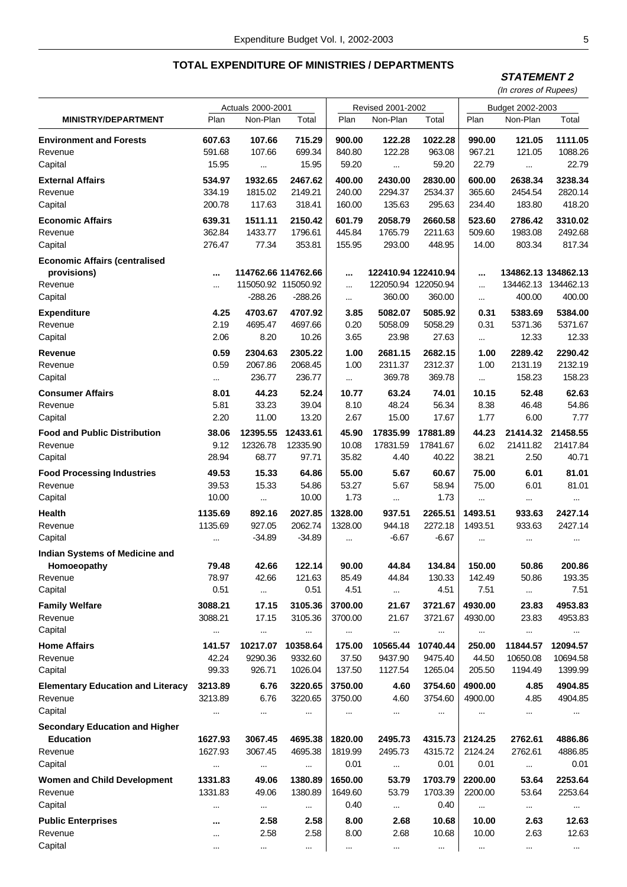## **STATEMENT 2**

|                                                                           | Actuals 2000-2001  |                                                         |                                |                    | Revised 2001-2002           |                                                      | Budget 2002-2003   |                               |                               |  |
|---------------------------------------------------------------------------|--------------------|---------------------------------------------------------|--------------------------------|--------------------|-----------------------------|------------------------------------------------------|--------------------|-------------------------------|-------------------------------|--|
| <b>MINISTRY/DEPARTMENT</b>                                                | Plan               | Non-Plan                                                | Total                          | Plan               | Non-Plan                    | Total                                                | Plan               | Non-Plan                      | Total                         |  |
| <b>Environment and Forests</b>                                            | 607.63             | 107.66                                                  | 715.29                         | 900.00             | 122.28                      | 1022.28                                              | 990.00             | 121.05                        | 1111.05                       |  |
| Revenue                                                                   | 591.68             | 107.66                                                  | 699.34                         | 840.80             | 122.28                      | 963.08                                               | 967.21             | 121.05                        | 1088.26                       |  |
| Capital                                                                   | 15.95              |                                                         | 15.95                          | 59.20              |                             | 59.20                                                | 22.79              |                               | 22.79                         |  |
| <b>External Affairs</b>                                                   | 534.97             | 1932.65                                                 | 2467.62                        | 400.00             | 2430.00                     | 2830.00                                              | 600.00             | 2638.34                       | 3238.34                       |  |
| Revenue                                                                   | 334.19             | 1815.02                                                 | 2149.21                        | 240.00             | 2294.37                     | 2534.37                                              | 365.60             | 2454.54                       | 2820.14                       |  |
| Capital                                                                   | 200.78             | 117.63                                                  | 318.41                         | 160.00             | 135.63                      | 295.63                                               | 234.40             | 183.80                        | 418.20                        |  |
| <b>Economic Affairs</b>                                                   | 639.31             | 1511.11                                                 | 2150.42                        | 601.79             | 2058.79                     | 2660.58                                              | 523.60             | 2786.42                       | 3310.02                       |  |
| Revenue                                                                   | 362.84             | 1433.77                                                 | 1796.61                        | 445.84             | 1765.79                     | 2211.63                                              | 509.60             | 1983.08                       | 2492.68                       |  |
| Capital                                                                   | 276.47             | 77.34                                                   | 353.81                         | 155.95             | 293.00                      | 448.95                                               | 14.00              | 803.34                        | 817.34                        |  |
| <b>Economic Affairs (centralised</b><br>provisions)<br>Revenue<br>Capital | <br>               | 114762.66 114762.66<br>115050.92 115050.92<br>$-288.26$ | $-288.26$                      | <br><br>$\cdots$   | 360.00                      | 122410.94 122410.94<br>122050.94 122050.94<br>360.00 | <br><br>$\cdots$   | 134862.13 134862.13<br>400.00 | 134462.13 134462.13<br>400.00 |  |
| <b>Expenditure</b>                                                        | 4.25               | 4703.67                                                 | 4707.92                        | 3.85               | 5082.07                     | 5085.92                                              | 0.31               | 5383.69                       | 5384.00                       |  |
| Revenue                                                                   | 2.19               | 4695.47                                                 | 4697.66                        | 0.20               | 5058.09                     | 5058.29                                              | 0.31               | 5371.36                       | 5371.67                       |  |
| Capital                                                                   | 2.06               | 8.20                                                    | 10.26                          | 3.65               | 23.98                       | 27.63                                                | $\sim$             | 12.33                         | 12.33                         |  |
| Revenue                                                                   | 0.59               | 2304.63                                                 | 2305.22                        | 1.00               | 2681.15                     | 2682.15                                              | 1.00               | 2289.42                       | 2290.42                       |  |
| Revenue                                                                   | 0.59               | 2067.86                                                 | 2068.45                        | 1.00               | 2311.37                     | 2312.37                                              | 1.00               | 2131.19                       | 2132.19                       |  |
| Capital                                                                   |                    | 236.77                                                  | 236.77                         | $\cdots$           | 369.78                      | 369.78                                               |                    | 158.23                        | 158.23                        |  |
| <b>Consumer Affairs</b>                                                   | 8.01               | 44.23                                                   | 52.24                          | 10.77              | 63.24                       | 74.01                                                | 10.15              | 52.48                         | 62.63                         |  |
| Revenue                                                                   | 5.81               | 33.23                                                   | 39.04                          | 8.10               | 48.24                       | 56.34                                                | 8.38               | 46.48                         | 54.86                         |  |
| Capital                                                                   | 2.20               | 11.00                                                   | 13.20                          | 2.67               | 15.00                       | 17.67                                                | 1.77               | 6.00                          | 7.77                          |  |
| <b>Food and Public Distribution</b>                                       | 38.06              | 12395.55                                                | 12433.61                       | 45.90              | 17835.99                    | 17881.89                                             | 44.23              | 21414.32                      | 21458.55                      |  |
| Revenue                                                                   | 9.12               | 12326.78                                                | 12335.90                       | 10.08              | 17831.59                    | 17841.67                                             | 6.02               | 21411.82                      | 21417.84                      |  |
| Capital                                                                   | 28.94              | 68.77                                                   | 97.71                          | 35.82              | 4.40                        | 40.22                                                | 38.21              | 2.50                          | 40.71                         |  |
| <b>Food Processing Industries</b>                                         | 49.53              | 15.33                                                   | 64.86                          | 55.00              | 5.67                        | 60.67                                                | 75.00              | 6.01                          | 81.01                         |  |
| Revenue                                                                   | 39.53              | 15.33                                                   | 54.86                          | 53.27              | 5.67                        | 58.94                                                | 75.00              | 6.01                          | 81.01                         |  |
| Capital                                                                   | 10.00              | $\cdots$                                                | 10.00                          | 1.73               | $\cdots$                    | 1.73                                                 | $\cdots$           | $\cdots$                      | $\cdots$                      |  |
| <b>Health</b><br>Revenue<br>Capital                                       | 1135.69<br>1135.69 | 892.16<br>927.05<br>$-34.89$                            | 2027.85<br>2062.74<br>$-34.89$ | 1328.00<br>1328.00 | 937.51<br>944.18<br>$-6.67$ | 2265.51<br>2272.18<br>$-6.67$                        | 1493.51<br>1493.51 | 933.63<br>933.63              | 2427.14<br>2427.14            |  |
| <b>Indian Systems of Medicine and</b><br>Homoeopathy                      | <br>79.48          | 42.66                                                   | 122.14                         | <br>90.00          | 44.84                       | 134.84                                               | <br>150.00         | <br>50.86                     | <br>200.86                    |  |
| Revenue                                                                   | 78.97              | 42.66                                                   | 121.63                         | 85.49              | 44.84                       | 130.33                                               | 142.49             | 50.86                         | 193.35                        |  |
| Capital                                                                   | 0.51               | $\sim$                                                  | 0.51                           | 4.51               | $\cdots$                    | 4.51                                                 | 7.51               | $\cdots$                      | 7.51                          |  |
| <b>Family Welfare</b>                                                     | 3088.21            | 17.15                                                   | 3105.36                        | 3700.00            | 21.67                       | 3721.67                                              | 4930.00            | 23.83                         | 4953.83                       |  |
| Revenue                                                                   | 3088.21            | 17.15                                                   | 3105.36                        | 3700.00            | 21.67                       | 3721.67                                              | 4930.00            | 23.83                         | 4953.83                       |  |
| Capital                                                                   | $\cdots$           |                                                         | $\cdots$                       |                    |                             |                                                      |                    |                               | $\cdots$                      |  |
| <b>Home Affairs</b>                                                       | 141.57             | 10217.07                                                | 10358.64                       | 175.00             | 10565.44                    | 10740.44                                             | 250.00             | 11844.57                      | 12094.57                      |  |
| Revenue                                                                   | 42.24              | 9290.36                                                 | 9332.60                        | 37.50              | 9437.90                     | 9475.40                                              | 44.50              | 10650.08                      | 10694.58                      |  |
| Capital                                                                   | 99.33              | 926.71                                                  | 1026.04                        | 137.50             | 1127.54                     | 1265.04                                              | 205.50             | 1194.49                       | 1399.99                       |  |
| <b>Elementary Education and Literacy</b>                                  | 3213.89            | 6.76                                                    | 3220.65                        | 3750.00            | 4.60                        | 3754.60                                              | 4900.00            | 4.85                          | 4904.85                       |  |
| Revenue                                                                   | 3213.89            | 6.76                                                    | 3220.65                        | 3750.00            | 4.60                        | 3754.60                                              | 4900.00            | 4.85                          | 4904.85                       |  |
| Capital                                                                   |                    |                                                         | $\cdots$                       |                    |                             | $\cdots$                                             |                    |                               | $\cdots$                      |  |
| <b>Secondary Education and Higher</b><br><b>Education</b>                 | 1627.93            | 3067.45                                                 | 4695.38                        | 1820.00            | 2495.73                     | 4315.73                                              | 2124.25            | 2762.61                       | 4886.86                       |  |
| Revenue                                                                   | 1627.93            | 3067.45                                                 | 4695.38                        | 1819.99            | 2495.73                     | 4315.72                                              | 2124.24            | 2762.61                       | 4886.85                       |  |
| Capital                                                                   |                    |                                                         |                                | 0.01               | $\cdots$                    | 0.01                                                 | 0.01               | $\cdots$                      | 0.01                          |  |
| <b>Women and Child Development</b>                                        | 1331.83            | 49.06                                                   | 1380.89                        | 1650.00            | 53.79                       | 1703.79                                              | 2200.00            | 53.64                         | 2253.64                       |  |
| Revenue                                                                   | 1331.83            | 49.06                                                   | 1380.89                        | 1649.60            | 53.79                       | 1703.39                                              | 2200.00            | 53.64                         | 2253.64                       |  |
| Capital                                                                   | $\cdots$           | $\cdots$                                                |                                | 0.40               | $\cdots$                    | 0.40                                                 | $\cdots$           | $\cdots$                      | $\cdots$                      |  |
| <b>Public Enterprises</b>                                                 |                    | 2.58                                                    | 2.58                           | 8.00               | 2.68                        | 10.68                                                | 10.00              | 2.63                          | 12.63                         |  |
| Revenue                                                                   | $\cdots$           | 2.58                                                    | 2.58                           | 8.00               | 2.68                        | 10.68                                                | 10.00              | 2.63                          | 12.63                         |  |
| Capital                                                                   | $\cdots$           | $\cdots$                                                | $\cdots$                       | $\cdots$           | $\cdots$                    | $\cdots$                                             | $\cdots$           | $\cdots$                      | $\cdots$                      |  |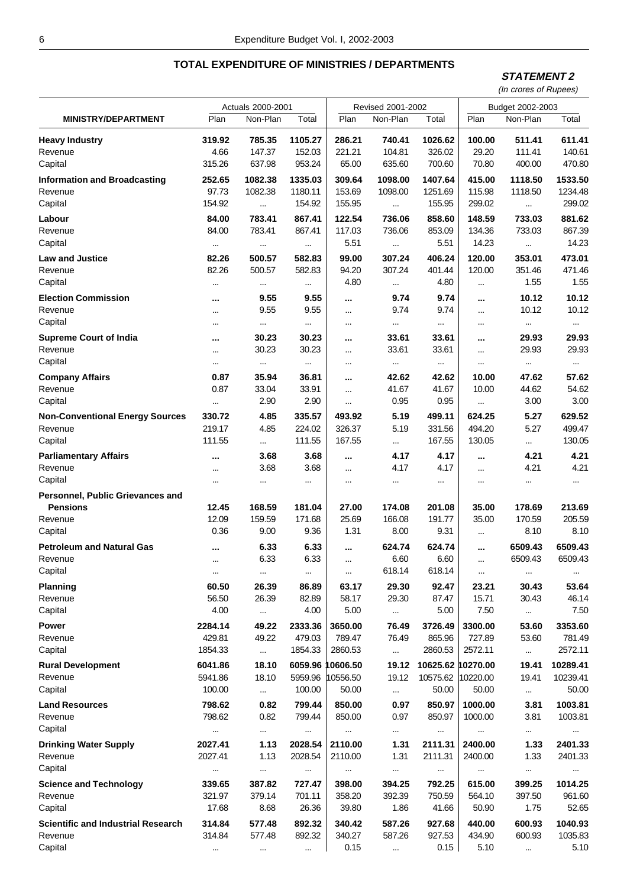### **STATEMENT 2**

|                                           | Actuals 2000-2001 |              |           |                  | Revised 2001-2002 |                   | Budget 2002-2003     |              |                    |
|-------------------------------------------|-------------------|--------------|-----------|------------------|-------------------|-------------------|----------------------|--------------|--------------------|
| <b>MINISTRY/DEPARTMENT</b>                | Plan              | Non-Plan     | Total     | Plan             | Non-Plan          | Total             | Plan                 | Non-Plan     | Total              |
| <b>Heavy Industry</b>                     | 319.92            | 785.35       | 1105.27   | 286.21           | 740.41            | 1026.62           | 100.00               | 511.41       | 611.41             |
| Revenue                                   | 4.66              | 147.37       | 152.03    | 221.21           | 104.81            | 326.02            | 29.20                | 111.41       | 140.61             |
| Capital                                   | 315.26            | 637.98       | 953.24    | 65.00            | 635.60            | 700.60            | 70.80                | 400.00       | 470.80             |
| <b>Information and Broadcasting</b>       | 252.65            | 1082.38      | 1335.03   | 309.64           | 1098.00           | 1407.64           | 415.00               | 1118.50      | 1533.50            |
| Revenue                                   | 97.73             | 1082.38      | 1180.11   | 153.69           | 1098.00           | 1251.69           | 115.98               | 1118.50      | 1234.48            |
| Capital                                   | 154.92            | $\cdots$     | 154.92    | 155.95           | $\cdots$          | 155.95            | 299.02               |              | 299.02             |
| Labour                                    | 84.00             | 783.41       | 867.41    | 122.54           | 736.06            | 858.60            | 148.59               | 733.03       | 881.62             |
| Revenue                                   | 84.00             | 783.41       | 867.41    | 117.03           | 736.06            | 853.09            | 134.36               | 733.03       | 867.39             |
| Capital                                   | $\cdots$          | $\cdots$     | $\cdots$  | 5.51             | $\ddotsc$         | 5.51              | 14.23                | $\cdots$     | 14.23              |
| <b>Law and Justice</b>                    | 82.26             | 500.57       | 582.83    | 99.00            | 307.24            | 406.24            | 120.00               | 353.01       | 473.01             |
| Revenue                                   | 82.26             | 500.57       | 582.83    | 94.20            | 307.24            | 401.44            | 120.00               | 351.46       | 471.46             |
| Capital                                   | $\ddotsc$         | $\cdots$     | $\cdots$  | 4.80             |                   | 4.80              |                      | 1.55         | 1.55               |
| <b>Election Commission</b>                |                   | 9.55         | 9.55      |                  | 9.74              | 9.74              |                      | 10.12        | 10.12              |
| Revenue                                   |                   | 9.55         | 9.55      |                  | 9.74              | 9.74              |                      | 10.12        | 10.12              |
| Capital                                   | $\ddotsc$         | $\cdots$     | $\ddotsc$ | $\cdots$         | $\ddotsc$         | $\ddotsc$         | $\cdots$<br>$\cdots$ | $\cdots$     | $\cdots$           |
|                                           | $\cdots$          |              |           | $\cdots$         |                   |                   |                      |              |                    |
| <b>Supreme Court of India</b>             |                   | 30.23        | 30.23     |                  | 33.61             | 33.61             | $\cdots$             | 29.93        | 29.93              |
| Revenue<br>Capital                        | $\cdots$          | 30.23        | 30.23     | $\cdots$         | 33.61             | 33.61             |                      | 29.93        | 29.93              |
|                                           | $\cdots$          | $\cdots$     | $\cdots$  | $\cdots$         | $\cdots$          | $\cdots$          | $\cdots$             | $\cdots$     | $\cdots$           |
| <b>Company Affairs</b>                    | 0.87              | 35.94        | 36.81     |                  | 42.62             | 42.62             | 10.00                | 47.62        | 57.62              |
| Revenue                                   | 0.87              | 33.04        | 33.91     | $\cdots$         | 41.67             | 41.67             | 10.00                | 44.62        | 54.62              |
| Capital                                   | $\cdots$          | 2.90         | 2.90      | $\cdots$         | 0.95              | 0.95              | $\cdots$             | 3.00         | 3.00               |
| <b>Non-Conventional Energy Sources</b>    | 330.72            | 4.85         | 335.57    | 493.92           | 5.19              | 499.11            | 624.25               | 5.27         | 629.52             |
| Revenue                                   | 219.17            | 4.85         | 224.02    | 326.37           | 5.19              | 331.56            | 494.20               | 5.27         | 499.47             |
| Capital                                   | 111.55            | $\cdots$     | 111.55    | 167.55           | $\cdots$          | 167.55            | 130.05               | $\cdots$     | 130.05             |
| <b>Parliamentary Affairs</b>              |                   | 3.68         | 3.68      |                  | 4.17              | 4.17              |                      | 4.21         | 4.21               |
| Revenue                                   | $\cdots$          | 3.68         | 3.68      | $\cdots$         | 4.17              | 4.17              |                      | 4.21         | 4.21               |
| Capital                                   | $\cdots$          | $\cdots$     | $\ddotsc$ | $\cdots$         | $\cdots$          | $\ddotsc$         | $\cdots$             | $\cdots$     | $\cdots$           |
| Personnel, Public Grievances and          |                   |              |           |                  |                   |                   |                      |              |                    |
| <b>Pensions</b>                           | 12.45             | 168.59       | 181.04    | 27.00            | 174.08            | 201.08            | 35.00                | 178.69       | 213.69             |
| Revenue                                   | 12.09             | 159.59       | 171.68    | 25.69            | 166.08            | 191.77            | 35.00                | 170.59       | 205.59             |
| Capital                                   | 0.36              | 9.00         | 9.36      | 1.31             | 8.00              | 9.31              | $\cdots$             | 8.10         | 8.10               |
| <b>Petroleum and Natural Gas</b>          |                   | 6.33         | 6.33      | $\cdots$         | 624.74            | 624.74            | $\cdots$             | 6509.43      | 6509.43            |
| Revenue                                   | $\cdots$          | 6.33         | 6.33      | $\cdots$         | 6.60              | 6.60              |                      | 6509.43      | 6509.43            |
| Capital                                   | $\cdots$          | $\cdots$     | $\cdots$  |                  | 618.14            | 618.14            | $\cdots$             | $\cdots$     |                    |
| <b>Planning</b>                           | 60.50             | 26.39        | 86.89     | 63.17            | 29.30             | 92.47             | 23.21                | 30.43        | 53.64              |
| Revenue                                   | 56.50             | 26.39        | 82.89     | 58.17            | 29.30             | 87.47             | 15.71                | 30.43        | 46.14              |
| Capital                                   | 4.00              | $\ddotsc$    | 4.00      | 5.00             | $\cdots$          | 5.00              | 7.50                 |              | 7.50               |
| Power                                     | 2284.14           | 49.22        | 2333.36   | 3650.00          | 76.49             | 3726.49           | 3300.00              | 53.60        | 3353.60            |
| Revenue                                   | 429.81            | 49.22        | 479.03    | 789.47           | 76.49             | 865.96            | 727.89               | 53.60        | 781.49             |
| Capital                                   | 1854.33           |              | 1854.33   | 2860.53          |                   | 2860.53           | 2572.11              |              | 2572.11            |
| <b>Rural Development</b>                  | 6041.86           | 18.10        |           | 6059.96 10606.50 | 19.12             | 10625.62 10270.00 |                      | 19.41        | 10289.41           |
| Revenue                                   | 5941.86           | 18.10        | 5959.96   | 10556.50         | 19.12             |                   | 10575.62 10220.00    | 19.41        | 10239.41           |
| Capital                                   | 100.00            | $\cdots$     | 100.00    | 50.00            | $\cdots$          | 50.00             | 50.00                |              | 50.00              |
| <b>Land Resources</b>                     | 798.62            |              | 799.44    |                  |                   |                   |                      |              |                    |
| Revenue                                   | 798.62            | 0.82<br>0.82 | 799.44    | 850.00<br>850.00 | 0.97<br>0.97      | 850.97<br>850.97  | 1000.00<br>1000.00   | 3.81<br>3.81 | 1003.81<br>1003.81 |
| Capital                                   |                   |              |           |                  |                   |                   |                      |              |                    |
|                                           |                   | $\cdots$     |           |                  | $\cdots$          |                   |                      | $\cdots$     |                    |
| <b>Drinking Water Supply</b>              | 2027.41           | 1.13         | 2028.54   | 2110.00          | 1.31              | 2111.31           | 2400.00              | 1.33         | 2401.33            |
| Revenue                                   | 2027.41           | 1.13         | 2028.54   | 2110.00          | 1.31              | 2111.31           | 2400.00              | 1.33         | 2401.33            |
| Capital                                   |                   | $\cdots$     |           | $\cdots$         |                   |                   | $\cdots$             | $\cdots$     |                    |
| <b>Science and Technology</b>             | 339.65            | 387.82       | 727.47    | 398.00           | 394.25            | 792.25            | 615.00               | 399.25       | 1014.25            |
| Revenue                                   | 321.97            | 379.14       | 701.11    | 358.20           | 392.39            | 750.59            | 564.10               | 397.50       | 961.60             |
| Capital                                   | 17.68             | 8.68         | 26.36     | 39.80            | 1.86              | 41.66             | 50.90                | 1.75         | 52.65              |
| <b>Scientific and Industrial Research</b> | 314.84            | 577.48       | 892.32    | 340.42           | 587.26            | 927.68            | 440.00               | 600.93       | 1040.93            |
| Revenue                                   | 314.84            | 577.48       | 892.32    | 340.27           | 587.26            | 927.53            | 434.90               | 600.93       | 1035.83            |
| Capital                                   |                   | $\cdots$     | $\cdots$  | 0.15             | $\cdots$          | 0.15              | 5.10                 | $\cdots$     | 5.10               |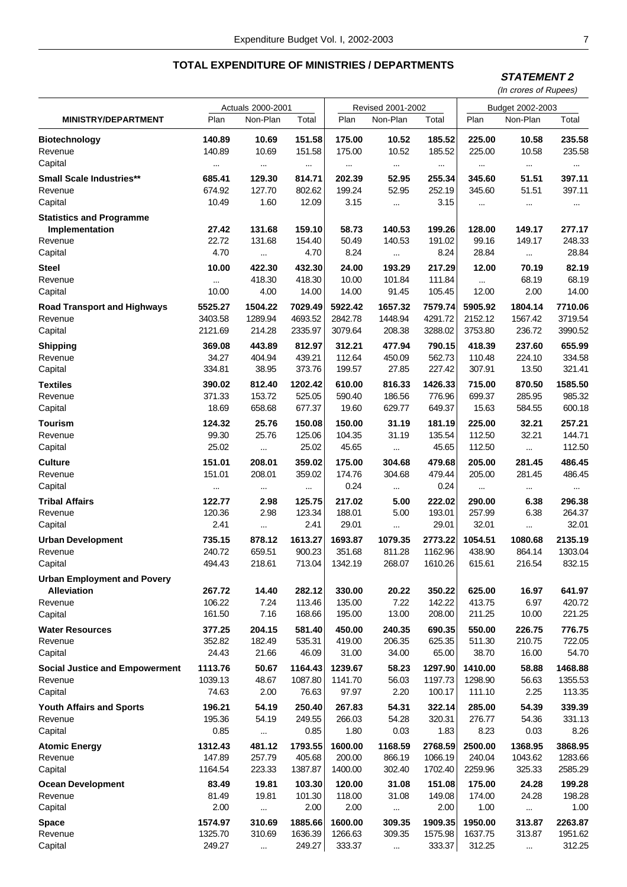**STATEMENT 2**

|                                                                         |                        | Actuals 2000-2001            |                          |                        | Revised 2001-2002            |                          | Budget 2002-2003         |                              |                           |  |
|-------------------------------------------------------------------------|------------------------|------------------------------|--------------------------|------------------------|------------------------------|--------------------------|--------------------------|------------------------------|---------------------------|--|
| <b>MINISTRY/DEPARTMENT</b>                                              | Plan                   | Non-Plan                     | Total                    | Plan                   | Non-Plan                     | Total                    | Plan                     | Non-Plan                     | Total                     |  |
| <b>Biotechnology</b>                                                    | 140.89                 | 10.69                        | 151.58                   | 175.00                 | 10.52                        | 185.52                   | 225.00                   | 10.58                        | 235.58                    |  |
| Revenue                                                                 | 140.89                 | 10.69                        | 151.58                   | 175.00                 | 10.52                        | 185.52                   | 225.00                   | 10.58                        | 235.58                    |  |
| Capital                                                                 |                        | $\cdots$                     | $\cdots$                 | $\cdots$               | $\cdots$                     | $\cdots$                 | $\cdots$                 | $\cdots$                     | $\cdots$                  |  |
| <b>Small Scale Industries**</b>                                         | 685.41                 | 129.30                       | 814.71                   | 202.39                 | 52.95                        | 255.34                   | 345.60                   | 51.51                        | 397.11                    |  |
| Revenue                                                                 | 674.92                 | 127.70                       | 802.62                   | 199.24                 | 52.95                        | 252.19                   | 345.60                   | 51.51                        | 397.11                    |  |
| Capital                                                                 | 10.49                  | 1.60                         | 12.09                    | 3.15                   |                              | 3.15                     | $\cdots$                 | $\cdots$                     | $\cdots$                  |  |
| <b>Statistics and Programme</b><br>Implementation<br>Revenue<br>Capital | 27.42<br>22.72<br>4.70 | 131.68<br>131.68<br>$\cdots$ | 159.10<br>154.40<br>4.70 | 58.73<br>50.49<br>8.24 | 140.53<br>140.53<br>$\cdots$ | 199.26<br>191.02<br>8.24 | 128.00<br>99.16<br>28.84 | 149.17<br>149.17<br>$\cdots$ | 277.17<br>248.33<br>28.84 |  |
| <b>Steel</b>                                                            | 10.00                  | 422.30                       | 432.30                   | 24.00                  | 193.29                       | 217.29                   | 12.00                    | 70.19                        | 82.19                     |  |
| Revenue                                                                 |                        | 418.30                       | 418.30                   | 10.00                  | 101.84                       | 111.84                   | $\ddotsc$                | 68.19                        | 68.19                     |  |
| Capital                                                                 | 10.00                  | 4.00                         | 14.00                    | 14.00                  | 91.45                        | 105.45                   | 12.00                    | 2.00                         | 14.00                     |  |
| <b>Road Transport and Highways</b>                                      | 5525.27                | 1504.22                      | 7029.49                  | 5922.42                | 1657.32                      | 7579.74                  | 5905.92                  | 1804.14                      | 7710.06                   |  |
| Revenue                                                                 | 3403.58                | 1289.94                      | 4693.52                  | 2842.78                | 1448.94                      | 4291.72                  | 2152.12                  | 1567.42                      | 3719.54                   |  |
| Capital                                                                 | 2121.69                | 214.28                       | 2335.97                  | 3079.64                | 208.38                       | 3288.02                  | 3753.80                  | 236.72                       | 3990.52                   |  |
| <b>Shipping</b>                                                         | 369.08                 | 443.89                       | 812.97                   | 312.21                 | 477.94                       | 790.15                   | 418.39                   | 237.60                       | 655.99                    |  |
| Revenue                                                                 | 34.27                  | 404.94                       | 439.21                   | 112.64                 | 450.09                       | 562.73                   | 110.48                   | 224.10                       | 334.58                    |  |
| Capital                                                                 | 334.81                 | 38.95                        | 373.76                   | 199.57                 | 27.85                        | 227.42                   | 307.91                   | 13.50                        | 321.41                    |  |
| <b>Textiles</b>                                                         | 390.02                 | 812.40                       | 1202.42                  | 610.00                 | 816.33                       | 1426.33                  | 715.00                   | 870.50                       | 1585.50                   |  |
| Revenue                                                                 | 371.33                 | 153.72                       | 525.05                   | 590.40                 | 186.56                       | 776.96                   | 699.37                   | 285.95                       | 985.32                    |  |
| Capital                                                                 | 18.69                  | 658.68                       | 677.37                   | 19.60                  | 629.77                       | 649.37                   | 15.63                    | 584.55                       | 600.18                    |  |
| Tourism                                                                 | 124.32                 | 25.76                        | 150.08                   | 150.00                 | 31.19                        | 181.19                   | 225.00                   | 32.21                        | 257.21                    |  |
| Revenue                                                                 | 99.30                  | 25.76                        | 125.06                   | 104.35                 | 31.19                        | 135.54                   | 112.50                   | 32.21                        | 144.71                    |  |
| Capital                                                                 | 25.02                  | $\ldots$                     | 25.02                    | 45.65                  | $\cdots$                     | 45.65                    | 112.50                   | $\cdots$                     | 112.50                    |  |
| <b>Culture</b>                                                          | 151.01                 | 208.01                       | 359.02                   | 175.00                 | 304.68                       | 479.68                   | 205.00                   | 281.45                       | 486.45                    |  |
| Revenue                                                                 | 151.01                 | 208.01                       | 359.02                   | 174.76                 | 304.68                       | 479.44                   | 205.00                   | 281.45                       | 486.45                    |  |
| Capital                                                                 |                        |                              |                          | 0.24                   | $\cdots$                     | 0.24                     | $\cdots$                 |                              |                           |  |
| <b>Tribal Affairs</b>                                                   | 122.77                 | 2.98                         | 125.75                   | 217.02                 | 5.00                         | 222.02                   | 290.00                   | 6.38                         | 296.38                    |  |
| Revenue                                                                 | 120.36                 | 2.98                         | 123.34                   | 188.01                 | 5.00                         | 193.01                   | 257.99                   | 6.38                         | 264.37                    |  |
| Capital                                                                 | 2.41                   | $\cdots$                     | 2.41                     | 29.01                  | $\cdots$                     | 29.01                    | 32.01                    | $\cdots$                     | 32.01                     |  |
| <b>Urban Development</b>                                                | 735.15                 | 878.12                       | 1613.27                  | 1693.87                | 1079.35                      | 2773.22                  | 1054.51                  | 1080.68                      | 2135.19                   |  |
| Revenue                                                                 | 240.72                 | 659.51                       | 900.23                   | 351.68                 | 811.28                       | 1162.96                  | 438.90                   | 864.14                       | 1303.04                   |  |
| Capital                                                                 | 494.43                 | 218.61                       | 713.04                   | 1342.19                | 268.07                       | 1610.26                  | 615.61                   | 216.54                       | 832.15                    |  |
| <b>Urban Employment and Povery</b><br><b>Alleviation</b><br>Revenue     | 267.72<br>106.22       | 14.40<br>7.24                | 282.12<br>113.46         | 330.00<br>135.00       | 20.22<br>7.22                | 350.22<br>142.22         | 625.00<br>413.75         | 16.97<br>6.97                | 641.97<br>420.72          |  |
| Capital                                                                 | 161.50                 | 7.16                         | 168.66                   | 195.00                 | 13.00                        | 208.00                   | 211.25                   | 10.00                        | 221.25                    |  |
| <b>Water Resources</b>                                                  | 377.25                 | 204.15                       | 581.40                   | 450.00                 | 240.35                       | 690.35                   | 550.00                   | 226.75                       | 776.75                    |  |
| Revenue                                                                 | 352.82                 | 182.49                       | 535.31                   | 419.00                 | 206.35                       | 625.35                   | 511.30                   | 210.75                       | 722.05                    |  |
| Capital                                                                 | 24.43                  | 21.66                        | 46.09                    | 31.00                  | 34.00                        | 65.00                    | 38.70                    | 16.00                        | 54.70                     |  |
| <b>Social Justice and Empowerment</b>                                   | 1113.76                | 50.67                        | 1164.43                  | 1239.67                | 58.23                        | 1297.90                  | 1410.00                  | 58.88                        | 1468.88                   |  |
| Revenue                                                                 | 1039.13                | 48.67                        | 1087.80                  | 1141.70                | 56.03                        | 1197.73                  | 1298.90                  | 56.63                        | 1355.53                   |  |
| Capital                                                                 | 74.63                  | 2.00                         | 76.63                    | 97.97                  | 2.20                         | 100.17                   | 111.10                   | 2.25                         | 113.35                    |  |
| <b>Youth Affairs and Sports</b>                                         | 196.21                 | 54.19                        | 250.40                   | 267.83                 | 54.31                        | 322.14                   | 285.00                   | 54.39                        | 339.39                    |  |
| Revenue                                                                 | 195.36                 | 54.19                        | 249.55                   | 266.03                 | 54.28                        | 320.31                   | 276.77                   | 54.36                        | 331.13                    |  |
| Capital                                                                 | 0.85                   | $\cdots$                     | 0.85                     | 1.80                   | 0.03                         | 1.83                     | 8.23                     | 0.03                         | 8.26                      |  |
| <b>Atomic Energy</b>                                                    | 1312.43                | 481.12                       | 1793.55                  | 1600.00                | 1168.59                      | 2768.59                  | 2500.00                  | 1368.95                      | 3868.95                   |  |
| Revenue                                                                 | 147.89                 | 257.79                       | 405.68                   | 200.00                 | 866.19                       | 1066.19                  | 240.04                   | 1043.62                      | 1283.66                   |  |
| Capital                                                                 | 1164.54                | 223.33                       | 1387.87                  | 1400.00                | 302.40                       | 1702.40                  | 2259.96                  | 325.33                       | 2585.29                   |  |
| <b>Ocean Development</b>                                                | 83.49                  | 19.81                        | 103.30                   | 120.00                 | 31.08                        | 151.08                   | 175.00                   | 24.28                        | 199.28                    |  |
| Revenue                                                                 | 81.49                  | 19.81                        | 101.30                   | 118.00                 | 31.08                        | 149.08                   | 174.00                   | 24.28                        | 198.28                    |  |
| Capital                                                                 | 2.00                   |                              | 2.00                     | 2.00                   | $\ddotsc$                    | 2.00                     | 1.00                     | $\cdots$                     | 1.00                      |  |
| <b>Space</b>                                                            | 1574.97                | 310.69                       | 1885.66                  | 1600.00                | 309.35                       | 1909.35                  | 1950.00                  | 313.87                       | 2263.87                   |  |
| Revenue                                                                 | 1325.70                | 310.69                       | 1636.39                  | 1266.63                | 309.35                       | 1575.98                  | 1637.75                  | 313.87                       | 1951.62                   |  |
| Capital                                                                 | 249.27                 | $\ldots$                     | 249.27                   | 333.37                 | $\ldots$                     | 333.37                   | 312.25                   | $\ldots$                     | 312.25                    |  |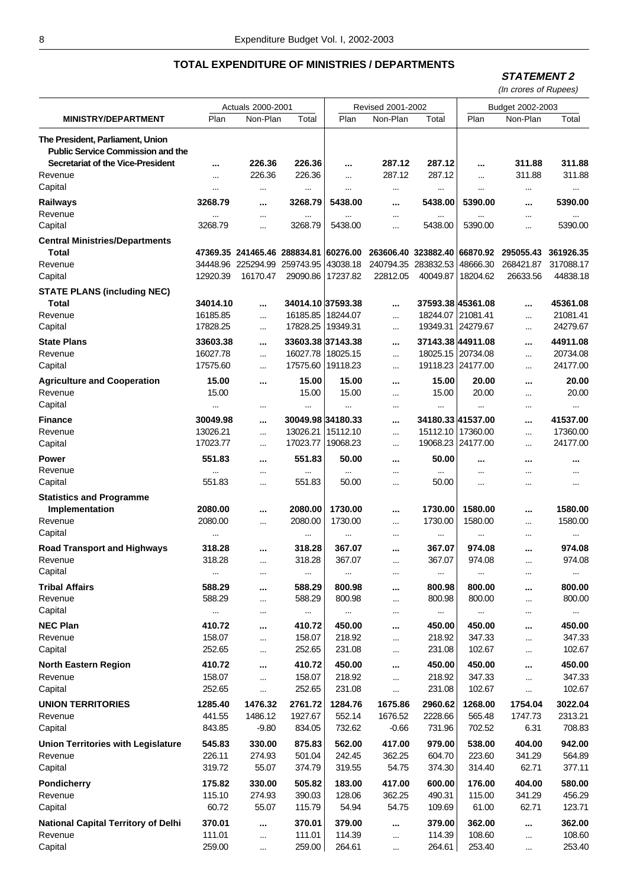#### **STATEMENT 2**

|                                                                              |                        | Actuals 2000-2001            |                                |                        | Revised 2001-2002            |                                | Budget 2002-2003               |           |                        |  |
|------------------------------------------------------------------------------|------------------------|------------------------------|--------------------------------|------------------------|------------------------------|--------------------------------|--------------------------------|-----------|------------------------|--|
| <b>MINISTRY/DEPARTMENT</b>                                                   | Plan                   | Non-Plan                     | Total                          | Plan                   | Non-Plan                     | Total                          | Plan                           | Non-Plan  | Total                  |  |
| The President, Parliament, Union<br><b>Public Service Commission and the</b> |                        |                              |                                |                        |                              |                                |                                |           |                        |  |
| Secretariat of the Vice-President                                            |                        | 226.36                       | 226.36                         |                        | 287.12                       | 287.12                         |                                | 311.88    | 311.88                 |  |
| Revenue<br>Capital                                                           |                        | 226.36                       | 226.36                         |                        | 287.12                       | 287.12                         | $\cdots$                       | 311.88    | 311.88                 |  |
|                                                                              | $\cdots$               | $\cdots$                     | $\cdots$                       | $\cdots$               | $\cdots$                     |                                | $\cdots$                       |           | $\cdots$               |  |
| <b>Railways</b><br>Revenue<br>Capital                                        | 3268.79<br><br>3268.79 | <br><br>                     | 3268.79<br>$\cdots$<br>3268.79 | 5438.00<br><br>5438.00 | <br><br>                     | 5438.00<br>$\cdots$<br>5438.00 | 5390.00<br>$\cdots$<br>5390.00 | <br><br>  | 5390.00<br><br>5390.00 |  |
| <b>Central Ministries/Departments</b>                                        |                        |                              |                                |                        |                              |                                |                                |           |                        |  |
| Total                                                                        |                        | 47369.35 241465.46 288834.81 |                                | 60276.00               | 263606.40 323882.40 66870.92 |                                |                                | 295055.43 | 361926.35              |  |
| Revenue                                                                      |                        | 34448.96 225294.99           | 259743.95                      | 43038.18               | 240794.35                    | 283832.53                      | 48666.30                       | 268421.87 | 317088.17              |  |
| Capital                                                                      | 12920.39               | 16170.47                     | 29090.86                       | 17237.82               | 22812.05                     | 40049.87                       | 18204.62                       | 26633.56  | 44838.18               |  |
| <b>STATE PLANS (including NEC)</b><br>Total                                  | 34014.10               |                              |                                | 34014.10 37593.38      |                              |                                | 37593.38 45361.08              |           | 45361.08               |  |
| Revenue                                                                      | 16185.85               |                              | 16185.85                       | 18244.07               |                              | 18244.07                       | 21081.41                       |           | 21081.41               |  |
| Capital                                                                      | 17828.25               | $\cdots$                     |                                | 17828.25   19349.31    |                              |                                | 19349.31 24279.67              |           | 24279.67               |  |
| <b>State Plans</b>                                                           | 33603.38               |                              |                                | 33603.38 37143.38      |                              |                                | 37143.38 44911.08              |           | 44911.08               |  |
| Revenue                                                                      | 16027.78               |                              |                                | 16027.78 18025.15      |                              |                                | 18025.15 20734.08              |           | 20734.08               |  |
| Capital                                                                      | 17575.60               |                              |                                | 17575.60   19118.23    | $\cdots$                     |                                | 19118.23 24177.00              |           | 24177.00               |  |
| <b>Agriculture and Cooperation</b>                                           | 15.00                  |                              | 15.00                          | 15.00                  |                              | 15.00                          | 20.00                          |           | 20.00                  |  |
| Revenue                                                                      | 15.00                  |                              | 15.00                          | 15.00                  |                              | 15.00                          | 20.00                          |           | 20.00                  |  |
| Capital                                                                      | $\ddotsc$              |                              | $\cdots$                       |                        | $\cdots$                     | $\cdots$                       |                                |           | $\cdots$               |  |
| <b>Finance</b>                                                               | 30049.98               |                              |                                | 30049.98 34180.33      |                              |                                | 34180.33 41537.00              |           | 41537.00               |  |
| Revenue                                                                      | 13026.21               | $\cdots$                     | 13026.21                       | 15112.10               | $\cdots$                     |                                | 15112.10   17360.00            | $\cdots$  | 17360.00               |  |
| Capital                                                                      | 17023.77               | $\cdots$                     | 17023.77                       | 19068.23               |                              |                                | 19068.23 24177.00              |           | 24177.00               |  |
| <b>Power</b><br>Revenue                                                      | 551.83                 |                              | 551.83                         | 50.00                  |                              | 50.00                          |                                |           |                        |  |
| Capital                                                                      | 551.83                 | $\cdots$<br>                 | <br>551.83                     | 50.00                  | <br>$\cdots$                 | <br>50.00                      | <br>$\cdots$                   | <br>      | <br>$\cdots$           |  |
|                                                                              |                        |                              |                                |                        |                              |                                |                                |           |                        |  |
| <b>Statistics and Programme</b><br>Implementation                            | 2080.00                |                              | 2080.00                        | 1730.00                |                              | 1730.00                        | 1580.00                        |           | 1580.00                |  |
| Revenue                                                                      | 2080.00                | <br>                         | 2080.00                        | 1730.00                | <br>                         | 1730.00                        | 1580.00                        | <br>      | 1580.00                |  |
| Capital                                                                      | $\cdots$               |                              | $\cdots$                       | $\cdots$               | $\cdots$                     | $\cdots$                       | $\cdots$                       | $\cdots$  | $\cdots$               |  |
| <b>Road Transport and Highways</b>                                           | 318.28                 |                              | 318.28                         | 367.07                 |                              | 367.07                         | 974.08                         |           | 974.08                 |  |
| Revenue                                                                      | 318.28                 |                              | 318.28                         | 367.07                 |                              | 367.07                         | 974.08                         |           | 974.08                 |  |
| Capital                                                                      | $\cdots$               | <br>$\cdots$                 | $\cdots$                       | $\cdots$               | $\cdots$<br>                 | $\cdots$                       | $\cdots$                       | <br>      | $\cdots$               |  |
| <b>Tribal Affairs</b>                                                        | 588.29                 |                              | 588.29                         | 800.98                 |                              | 800.98                         | 800.00                         |           | 800.00                 |  |
| Revenue                                                                      | 588.29                 |                              | 588.29                         | 800.98                 |                              | 800.98                         | 800.00                         |           | 800.00                 |  |
| Capital                                                                      |                        |                              |                                |                        |                              |                                |                                |           |                        |  |
|                                                                              | $\cdots$<br>410.72     |                              | $\cdots$                       | $\cdots$               | $\cdots$                     | $\cdots$                       | $\cdots$                       |           | $\cdots$               |  |
| <b>NEC Plan</b><br>Revenue                                                   | 158.07                 |                              | 410.72<br>158.07               | 450.00<br>218.92       |                              | 450.00<br>218.92               | 450.00<br>347.33               |           | 450.00<br>347.33       |  |
| Capital                                                                      | 252.65                 |                              | 252.65                         | 231.08                 | $\cdots$                     | 231.08                         | 102.67                         |           | 102.67                 |  |
|                                                                              |                        |                              |                                |                        | $\cdots$                     |                                |                                |           |                        |  |
| <b>North Eastern Region</b>                                                  | 410.72                 |                              | 410.72                         | 450.00                 |                              | 450.00                         | 450.00                         |           | 450.00                 |  |
| Revenue<br>Capital                                                           | 158.07<br>252.65       |                              | 158.07<br>252.65               | 218.92<br>231.08       | $\cdots$                     | 218.92<br>231.08               | 347.33<br>102.67               |           | 347.33<br>102.67       |  |
|                                                                              |                        |                              |                                |                        |                              |                                |                                |           |                        |  |
| <b>UNION TERRITORIES</b>                                                     | 1285.40                | 1476.32                      | 2761.72                        | 1284.76                | 1675.86                      | 2960.62                        | 1268.00                        | 1754.04   | 3022.04                |  |
| Revenue                                                                      | 441.55                 | 1486.12                      | 1927.67                        | 552.14                 | 1676.52                      | 2228.66                        | 565.48                         | 1747.73   | 2313.21                |  |
| Capital                                                                      | 843.85                 | $-9.80$                      | 834.05                         | 732.62                 | $-0.66$                      | 731.96                         | 702.52                         | 6.31      | 708.83                 |  |
| <b>Union Territories with Legislature</b>                                    | 545.83                 | 330.00                       | 875.83                         | 562.00                 | 417.00                       | 979.00                         | 538.00                         | 404.00    | 942.00                 |  |
| Revenue                                                                      | 226.11                 | 274.93                       | 501.04                         | 242.45                 | 362.25                       | 604.70                         | 223.60                         | 341.29    | 564.89                 |  |
| Capital                                                                      | 319.72                 | 55.07                        | 374.79                         | 319.55                 | 54.75                        | 374.30                         | 314.40                         | 62.71     | 377.11                 |  |
| Pondicherry                                                                  | 175.82                 | 330.00                       | 505.82                         | 183.00                 | 417.00                       | 600.00                         | 176.00                         | 404.00    | 580.00                 |  |
| Revenue                                                                      | 115.10                 | 274.93                       | 390.03                         | 128.06                 | 362.25                       | 490.31                         | 115.00                         | 341.29    | 456.29                 |  |
| Capital                                                                      | 60.72                  | 55.07                        | 115.79                         | 54.94                  | 54.75                        | 109.69                         | 61.00                          | 62.71     | 123.71                 |  |
| <b>National Capital Territory of Delhi</b>                                   | 370.01                 |                              | 370.01                         | 379.00                 |                              | 379.00                         | 362.00                         |           | 362.00                 |  |
| Revenue                                                                      | 111.01                 |                              | 111.01                         | 114.39                 | $\cdots$                     | 114.39                         | 108.60                         |           | 108.60                 |  |
| Capital                                                                      | 259.00                 | $\cdots$                     | 259.00                         | 264.61                 | $\cdots$                     | 264.61                         | 253.40                         | $\cdots$  | 253.40                 |  |